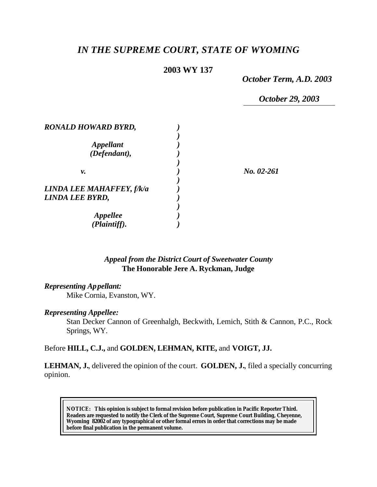# *IN THE SUPREME COURT, STATE OF WYOMING*

# **2003 WY 137**

*October Term, A.D. 2003*

*October 29, 2003*

| <b>RONALD HOWARD BYRD,</b> |            |
|----------------------------|------------|
|                            |            |
| <i><b>Appellant</b></i>    |            |
| (Defendant),               |            |
|                            |            |
| v.                         | No. 02-261 |
|                            |            |
| LINDA LEE MAHAFFEY, f/k/a  |            |
| LINDA LEE BYRD,            |            |
|                            |            |
| <b>Appellee</b>            |            |
| (Plaintiff).               |            |

# *Appeal from the District Court of Sweetwater County* **The Honorable Jere A. Ryckman, Judge**

#### *Representing Appellant:*

Mike Cornia, Evanston, WY.

#### *Representing Appellee:*

Stan Decker Cannon of Greenhalgh, Beckwith, Lemich, Stith & Cannon, P.C., Rock Springs, WY.

# Before **HILL, C.J.,** and **GOLDEN, LEHMAN, KITE,** and **VOIGT, JJ.**

**LEHMAN, J.**, delivered the opinion of the court. **GOLDEN, J.**, filed a specially concurring opinion.

**NOTICE:** *This opinion is subject to formal revision before publication in Pacific Reporter Third. Readers are requested to notify the Clerk of the Supreme Court, Supreme Court Building, Cheyenne, Wyoming 82002 of any typographical or other formal errors in order that corrections may be made before final publication in the permanent volume.*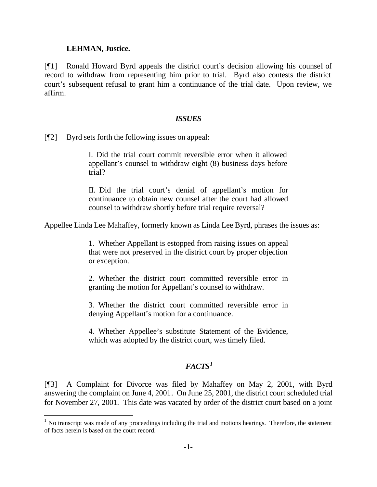### **LEHMAN, Justice.**

l

[¶1] Ronald Howard Byrd appeals the district court's decision allowing his counsel of record to withdraw from representing him prior to trial. Byrd also contests the district court's subsequent refusal to grant him a continuance of the trial date. Upon review, we affirm.

#### *ISSUES*

[¶2] Byrd sets forth the following issues on appeal:

I. Did the trial court commit reversible error when it allowed appellant's counsel to withdraw eight (8) business days before trial?

II. Did the trial court's denial of appellant's motion for continuance to obtain new counsel after the court had allowed counsel to withdraw shortly before trial require reversal?

Appellee Linda Lee Mahaffey, formerly known as Linda Lee Byrd, phrases the issues as:

1. Whether Appellant is estopped from raising issues on appeal that were not preserved in the district court by proper objection or exception.

2. Whether the district court committed reversible error in granting the motion for Appellant's counsel to withdraw.

3. Whether the district court committed reversible error in denying Appellant's motion for a continuance.

4. Whether Appellee's substitute Statement of the Evidence, which was adopted by the district court, was timely filed.

# *FACTS<sup>1</sup>*

[¶3] A Complaint for Divorce was filed by Mahaffey on May 2, 2001, with Byrd answering the complaint on June 4, 2001. On June 25, 2001, the district court scheduled trial for November 27, 2001. This date was vacated by order of the district court based on a joint

 $<sup>1</sup>$  No transcript was made of any proceedings including the trial and motions hearings. Therefore, the statement</sup> of facts herein is based on the court record.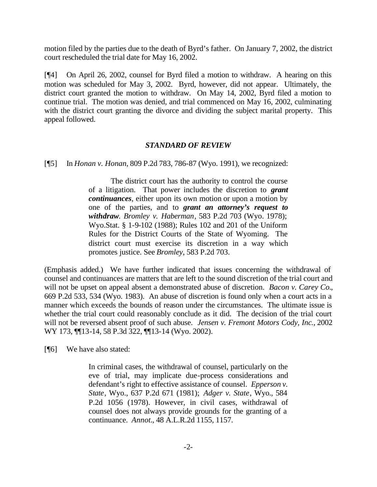motion filed by the parties due to the death of Byrd's father. On January 7, 2002, the district court rescheduled the trial date for May 16, 2002.

[¶4] On April 26, 2002, counsel for Byrd filed a motion to withdraw. A hearing on this motion was scheduled for May 3, 2002. Byrd, however, did not appear. Ultimately, the district court granted the motion to withdraw. On May 14, 2002, Byrd filed a motion to continue trial. The motion was denied, and trial commenced on May 16, 2002, culminating with the district court granting the divorce and dividing the subject marital property. This appeal followed.

### *STANDARD OF REVIEW*

[¶5] In *Honan v. Honan*, 809 P.2d 783, 786-87 (Wyo. 1991), we recognized:

The district court has the authority to control the course of a litigation. That power includes the discretion to *grant continuances*, either upon its own motion or upon a motion by one of the parties, and to *grant an attorney's request to withdraw*. *Bromley v. Haberman*, 583 P.2d 703 (Wyo. 1978); Wyo.Stat. § 1-9-102 (1988); Rules 102 and 201 of the Uniform Rules for the District Courts of the State of Wyoming. The district court must exercise its discretion in a way which promotes justice. See *Bromley*, 583 P.2d 703.

(Emphasis added.) We have further indicated that issues concerning the withdrawal of counsel and continuances are matters that are left to the sound discretion of the trial court and will not be upset on appeal absent a demonstrated abuse of discretion. *Bacon v. Carey Co.*, 669 P.2d 533, 534 (Wyo. 1983). An abuse of discretion is found only when a court acts in a manner which exceeds the bounds of reason under the circumstances. The ultimate issue is whether the trial court could reasonably conclude as it did. The decision of the trial court will not be reversed absent proof of such abuse. *Jensen v. Fremont Motors Cody, Inc.*, 2002 WY 173, ¶¶13-14, 58 P.3d 322, ¶¶13-14 (Wyo. 2002).

[¶6] We have also stated:

In criminal cases, the withdrawal of counsel, particularly on the eve of trial, may implicate due-process considerations and defendant's right to effective assistance of counsel. *Epperson v. State*, Wyo., 637 P.2d 671 (1981); *Adger v. State*, Wyo., 584 P.2d 1056 (1978). However, in civil cases, withdrawal of counsel does not always provide grounds for the granting of a continuance. *Annot.*, 48 A.L.R.2d 1155, 1157.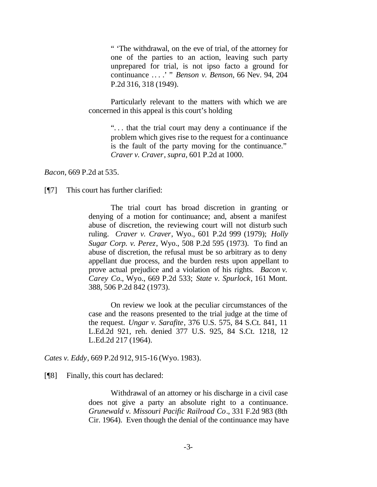" 'The withdrawal, on the eve of trial, of the attorney for one of the parties to an action, leaving such party unprepared for trial, is not ipso facto a ground for continuance .. . .' " *Benson v. Benson*, 66 Nev. 94, 204 P.2d 316, 318 (1949).

Particularly relevant to the matters with which we are concerned in this appeal is this court's holding

> ". . . that the trial court may deny a continuance if the problem which gives rise to the request for a continuance is the fault of the party moving for the continuance." *Craver v. Craver*, *supra*, 601 P.2d at 1000.

*Bacon*, 669 P.2d at 535.

[¶7] This court has further clarified:

The trial court has broad discretion in granting or denying of a motion for continuance; and, absent a manifest abuse of discretion, the reviewing court will not disturb such ruling. *Craver v. Craver*, Wyo., 601 P.2d 999 (1979); *Holly Sugar Corp. v. Perez*, Wyo., 508 P.2d 595 (1973). To find an abuse of discretion, the refusal must be so arbitrary as to deny appellant due process, and the burden rests upon appellant to prove actual prejudice and a violation of his rights. *Bacon v. Carey Co.*, Wyo., 669 P.2d 533; *State v. Spurlock*, 161 Mont. 388, 506 P.2d 842 (1973).

On review we look at the peculiar circumstances of the case and the reasons presented to the trial judge at the time of the request. *Ungar v. Sarafite*, 376 U.S. 575, 84 S.Ct. 841, 11 L.Ed.2d 921, reh. denied 377 U.S. 925, 84 S.Ct. 1218, 12 L.Ed.2d 217 (1964).

*Cates v. Eddy*, 669 P.2d 912, 915-16 (Wyo. 1983).

[¶8] Finally, this court has declared:

Withdrawal of an attorney or his discharge in a civil case does not give a party an absolute right to a continuance. *Grunewald v. Missouri Pacific Railroad Co*., 331 F.2d 983 (8th Cir. 1964). Even though the denial of the continuance may have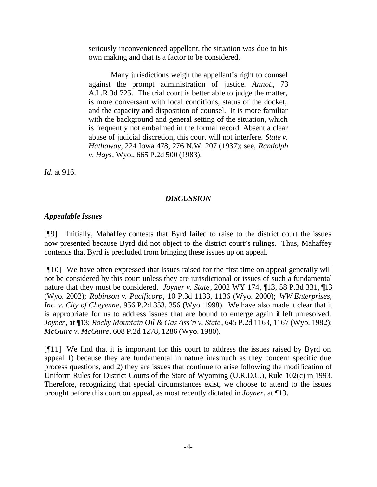seriously inconvenienced appellant, the situation was due to his own making and that is a factor to be considered.

Many jurisdictions weigh the appellant's right to counsel against the prompt administration of justice. *Annot.*, 73 A.L.R.3d 725. The trial court is better able to judge the matter, is more conversant with local conditions, status of the docket, and the capacity and disposition of counsel. It is more familiar with the background and general setting of the situation, which is frequently not embalmed in the formal record. Absent a clear abuse of judicial discretion, this court will not interfere. *State v. Hathaway*, 224 Iowa 478, 276 N.W. 207 (1937); see, *Randolph v. Hays*, Wyo., 665 P.2d 500 (1983).

*Id.* at 916.

### *DISCUSSION*

# *Appealable Issues*

[¶9] Initially, Mahaffey contests that Byrd failed to raise to the district court the issues now presented because Byrd did not object to the district court's rulings. Thus, Mahaffey contends that Byrd is precluded from bringing these issues up on appeal.

[¶10] We have often expressed that issues raised for the first time on appeal generally will not be considered by this court unless they are jurisdictional or issues of such a fundamental nature that they must be considered. *Joyner v. State*, 2002 WY 174, ¶13, 58 P.3d 331, ¶13 (Wyo. 2002); *Robinson v. Pacificorp*, 10 P.3d 1133, 1136 (Wyo. 2000); *WW Enterprises, Inc. v. City of Cheyenne*, 956 P.2d 353, 356 (Wyo. 1998). We have also made it clear that it is appropriate for us to address issues that are bound to emerge again if left unresolved. *Joyner*, at ¶13; *Rocky Mountain Oil & Gas Ass'n v. State*, 645 P.2d 1163, 1167 (Wyo. 1982); *McGuire v. McGuire*, 608 P.2d 1278, 1286 (Wyo. 1980).

[¶11] We find that it is important for this court to address the issues raised by Byrd on appeal 1) because they are fundamental in nature inasmuch as they concern specific due process questions, and 2) they are issues that continue to arise following the modification of Uniform Rules for District Courts of the State of Wyoming (U.R.D.C.), Rule 102(c) in 1993. Therefore, recognizing that special circumstances exist, we choose to attend to the issues brought before this court on appeal, as most recently dictated in *Joyner*, at ¶13.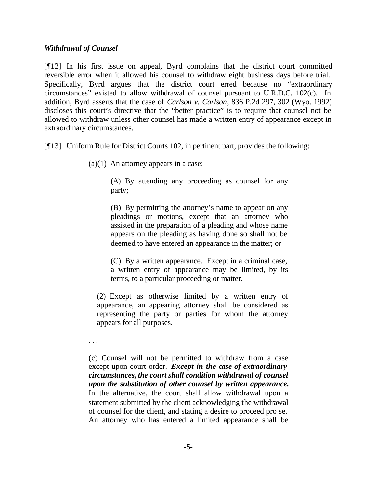## *Withdrawal of Counsel*

[¶12] In his first issue on appeal, Byrd complains that the district court committed reversible error when it allowed his counsel to withdraw eight business days before trial. Specifically, Byrd argues that the district court erred because no "extraordinary circumstances" existed to allow withdrawal of counsel pursuant to U.R.D.C. 102(c). In addition, Byrd asserts that the case of *Carlson v. Carlson*, 836 P.2d 297, 302 (Wyo. 1992) discloses this court's directive that the "better practice" is to require that counsel not be allowed to withdraw unless other counsel has made a written entry of appearance except in extraordinary circumstances.

[¶13] Uniform Rule for District Courts 102, in pertinent part, provides the following:

 $(a)(1)$  An attorney appears in a case:

(A) By attending any proceeding as counsel for any party;

(B) By permitting the attorney's name to appear on any pleadings or motions, except that an attorney who assisted in the preparation of a pleading and whose name appears on the pleading as having done so shall not be deemed to have entered an appearance in the matter; or

(C) By a written appearance. Except in a criminal case, a written entry of appearance may be limited, by its terms, to a particular proceeding or matter.

(2) Except as otherwise limited by a written entry of appearance, an appearing attorney shall be considered as representing the party or parties for whom the attorney appears for all purposes.

. . .

(c) Counsel will not be permitted to withdraw from a case except upon court order. *Except in the case of extraordinary circumstances, the court shall condition withdrawal of counsel upon the substitution of other counsel by written appearance.* In the alternative, the court shall allow withdrawal upon a statement submitted by the client acknowledging the withdrawal of counsel for the client, and stating a desire to proceed pro se. An attorney who has entered a limited appearance shall be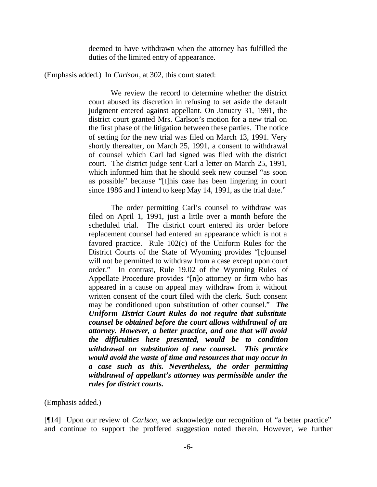deemed to have withdrawn when the attorney has fulfilled the duties of the limited entry of appearance.

(Emphasis added.) In *Carlson*, at 302, this court stated:

We review the record to determine whether the district court abused its discretion in refusing to set aside the default judgment entered against appellant. On January 31, 1991, the district court granted Mrs. Carlson's motion for a new trial on the first phase of the litigation between these parties. The notice of setting for the new trial was filed on March 13, 1991. Very shortly thereafter, on March 25, 1991, a consent to withdrawal of counsel which Carl had signed was filed with the district court. The district judge sent Carl a letter on March 25, 1991, which informed him that he should seek new counsel "as soon as possible" because "[t]his case has been lingering in court since 1986 and I intend to keep May 14, 1991, as the trial date."

The order permitting Carl's counsel to withdraw was filed on April 1, 1991, just a little over a month before the scheduled trial. The district court entered its order before replacement counsel had entered an appearance which is not a favored practice. Rule 102(c) of the Uniform Rules for the District Courts of the State of Wyoming provides "[c]ounsel will not be permitted to withdraw from a case except upon court order." In contrast, Rule 19.02 of the Wyoming Rules of Appellate Procedure provides "[n]o attorney or firm who has appeared in a cause on appeal may withdraw from it without written consent of the court filed with the clerk. Such consent may be conditioned upon substitution of other counsel." *The Uniform District Court Rules do not require that substitute counsel be obtained before the court allows withdrawal of an attorney. However, a better practice, and one that will avoid the difficulties here presented, would be to condition withdrawal on substitution of new counsel. This practice would avoid the waste of time and resources that may occur in a case such as this. Nevertheless, the order permitting withdrawal of appellant's attorney was permissible under the rules for district courts.* 

(Emphasis added.)

[¶14] Upon our review of *Carlson*, we acknowledge our recognition of "a better practice" and continue to support the proffered suggestion noted therein. However, we further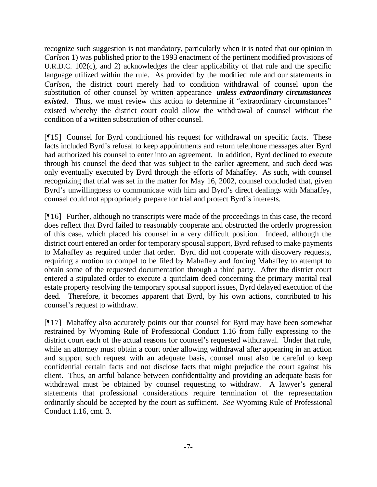recognize such suggestion is not mandatory, particularly when it is noted that our opinion in *Carlson* 1) was published prior to the 1993 enactment of the pertinent modified provisions of U.R.D.C. 102(c), and 2) acknowledges the clear applicability of that rule and the specific language utilized within the rule. As provided by the modified rule and our statements in *Carlson*, the district court merely had to condition withdrawal of counsel upon the substitution of other counsel by written appearance *unless extraordinary circumstances existed*. Thus, we must review this action to determine if "extraordinary circumstances" existed whereby the district court could allow the withdrawal of counsel without the condition of a written substitution of other counsel.

[¶15] Counsel for Byrd conditioned his request for withdrawal on specific facts. These facts included Byrd's refusal to keep appointments and return telephone messages after Byrd had authorized his counsel to enter into an agreement. In addition, Byrd declined to execute through his counsel the deed that was subject to the earlier agreement, and such deed was only eventually executed by Byrd through the efforts of Mahaffey. As such, with counsel recognizing that trial was set in the matter for May 16, 2002, counsel concluded that, given Byrd's unwillingness to communicate with him and Byrd's direct dealings with Mahaffey, counsel could not appropriately prepare for trial and protect Byrd's interests.

[¶16] Further, although no transcripts were made of the proceedings in this case, the record does reflect that Byrd failed to reasonably cooperate and obstructed the orderly progression of this case, which placed his counsel in a very difficult position. Indeed, although the district court entered an order for temporary spousal support, Byrd refused to make payments to Mahaffey as required under that order. Byrd did not cooperate with discovery requests, requiring a motion to compel to be filed by Mahaffey and forcing Mahaffey to attempt to obtain some of the requested documentation through a third party. After the district court entered a stipulated order to execute a quitclaim deed concerning the primary marital real estate property resolving the temporary spousal support issues, Byrd delayed execution of the deed. Therefore, it becomes apparent that Byrd, by his own actions, contributed to his counsel's request to withdraw.

[¶17] Mahaffey also accurately points out that counsel for Byrd may have been somewhat restrained by Wyoming Rule of Professional Conduct 1.16 from fully expressing to the district court each of the actual reasons for counsel's requested withdrawal. Under that rule, while an attorney must obtain a court order allowing withdrawal after appearing in an action and support such request with an adequate basis, counsel must also be careful to keep confidential certain facts and not disclose facts that might prejudice the court against his client. Thus, an artful balance between confidentiality and providing an adequate basis for withdrawal must be obtained by counsel requesting to withdraw. A lawyer's general statements that professional considerations require termination of the representation ordinarily should be accepted by the court as sufficient. *See* Wyoming Rule of Professional Conduct 1.16, cmt. 3.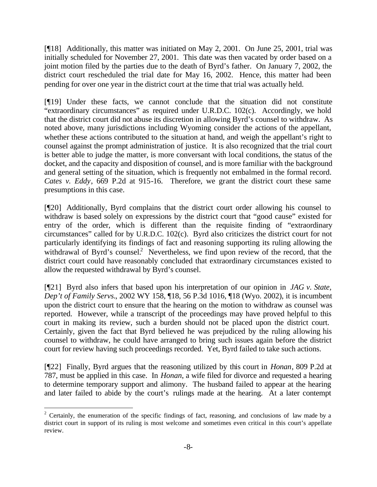[¶18] Additionally, this matter was initiated on May 2, 2001. On June 25, 2001, trial was initially scheduled for November 27, 2001. This date was then vacated by order based on a joint motion filed by the parties due to the death of Byrd's father. On January 7, 2002, the district court rescheduled the trial date for May 16, 2002. Hence, this matter had been pending for over one year in the district court at the time that trial was actually held.

[¶19] Under these facts, we cannot conclude that the situation did not constitute "extraordinary circumstances" as required under U.R.D.C. 102(c). Accordingly, we hold that the district court did not abuse its discretion in allowing Byrd's counsel to withdraw. As noted above, many jurisdictions including Wyoming consider the actions of the appellant, whether these actions contributed to the situation at hand, and weigh the appellant's right to counsel against the prompt administration of justice. It is also recognized that the trial court is better able to judge the matter, is more conversant with local conditions, the status of the docket, and the capacity and disposition of counsel, and is more familiar with the background and general setting of the situation, which is frequently not embalmed in the formal record. *Cates v. Eddy*, 669 P.2d at 915-16. Therefore, we grant the district court these same presumptions in this case.

[¶20] Additionally, Byrd complains that the district court order allowing his counsel to withdraw is based solely on expressions by the district court that "good cause" existed for entry of the order, which is different than the requisite finding of "extraordinary circumstances" called for by U.R.D.C. 102(c). Byrd also criticizes the district court for not particularly identifying its findings of fact and reasoning supporting its ruling allowing the withdrawal of Byrd's counsel.<sup>2</sup> Nevertheless, we find upon review of the record, that the district court could have reasonably concluded that extraordinary circumstances existed to allow the requested withdrawal by Byrd's counsel.

[¶21] Byrd also infers that based upon his interpretation of our opinion in *JAG v. State, Dep't of Family Servs.*, 2002 WY 158, ¶18, 56 P.3d 1016, ¶18 (Wyo. 2002), it is incumbent upon the district court to ensure that the hearing on the motion to withdraw as counsel was reported. However, while a transcript of the proceedings may have proved helpful to this court in making its review, such a burden should not be placed upon the district court. Certainly, given the fact that Byrd believed he was prejudiced by the ruling allowing his counsel to withdraw, he could have arranged to bring such issues again before the district court for review having such proceedings recorded. Yet, Byrd failed to take such actions.

[¶22] Finally, Byrd argues that the reasoning utilized by this court in *Honan*, 809 P.2d at 787, must be applied in this case. In *Honan*, a wife filed for divorce and requested a hearing to determine temporary support and alimony. The husband failed to appear at the hearing and later failed to abide by the court's rulings made at the hearing. At a later contempt

l

<sup>&</sup>lt;sup>2</sup> Certainly, the enumeration of the specific findings of fact, reasoning, and conclusions of law made by a district court in support of its ruling is most welcome and sometimes even critical in this court's appellate review.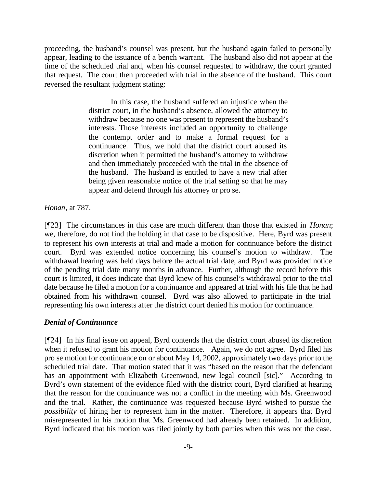proceeding, the husband's counsel was present, but the husband again failed to personally appear, leading to the issuance of a bench warrant. The husband also did not appear at the time of the scheduled trial and, when his counsel requested to withdraw, the court granted that request. The court then proceeded with trial in the absence of the husband. This court reversed the resultant judgment stating:

> In this case, the husband suffered an injustice when the district court, in the husband's absence, allowed the attorney to withdraw because no one was present to represent the husband's interests. Those interests included an opportunity to challenge the contempt order and to make a formal request for a continuance. Thus, we hold that the district court abused its discretion when it permitted the husband's attorney to withdraw and then immediately proceeded with the trial in the absence of the husband. The husband is entitled to have a new trial after being given reasonable notice of the trial setting so that he may appear and defend through his attorney or pro se.

*Honan*, at 787.

[¶23] The circumstances in this case are much different than those that existed in *Honan*; we, therefore, do not find the holding in that case to be dispositive. Here, Byrd was present to represent his own interests at trial and made a motion for continuance before the district court. Byrd was extended notice concerning his counsel's motion to withdraw. The withdrawal hearing was held days before the actual trial date, and Byrd was provided notice of the pending trial date many months in advance. Further, although the record before this court is limited, it does indicate that Byrd knew of his counsel's withdrawal prior to the trial date because he filed a motion for a continuance and appeared at trial with his file that he had obtained from his withdrawn counsel. Byrd was also allowed to participate in the trial representing his own interests after the district court denied his motion for continuance.

# *Denial of Continuance*

[¶24] In his final issue on appeal, Byrd contends that the district court abused its discretion when it refused to grant his motion for continuance. Again, we do not agree. Byrd filed his pro se motion for continuance on or about May 14, 2002, approximately two days prior to the scheduled trial date. That motion stated that it was "based on the reason that the defendant has an appointment with Elizabeth Greenwood, new legal council [sic]." According to Byrd's own statement of the evidence filed with the district court, Byrd clarified at hearing that the reason for the continuance was not a conflict in the meeting with Ms. Greenwood and the trial. Rather, the continuance was requested because Byrd wished to pursue the *possibility* of hiring her to represent him in the matter. Therefore, it appears that Byrd misrepresented in his motion that Ms. Greenwood had already been retained. In addition, Byrd indicated that his motion was filed jointly by both parties when this was not the case.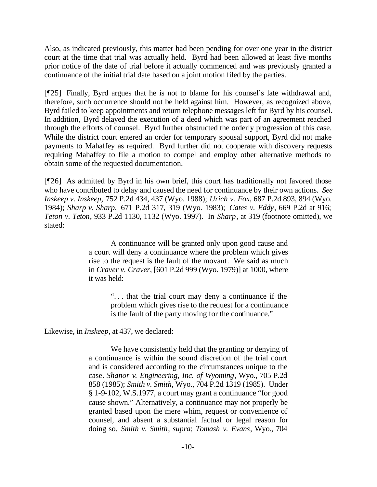Also, as indicated previously, this matter had been pending for over one year in the district court at the time that trial was actually held. Byrd had been allowed at least five months prior notice of the date of trial before it actually commenced and was previously granted a continuance of the initial trial date based on a joint motion filed by the parties.

[¶25] Finally, Byrd argues that he is not to blame for his counsel's late withdrawal and, therefore, such occurrence should not be held against him. However, as recognized above, Byrd failed to keep appointments and return telephone messages left for Byrd by his counsel. In addition, Byrd delayed the execution of a deed which was part of an agreement reached through the efforts of counsel. Byrd further obstructed the orderly progression of this case. While the district court entered an order for temporary spousal support, Byrd did not make payments to Mahaffey as required. Byrd further did not cooperate with discovery requests requiring Mahaffey to file a motion to compel and employ other alternative methods to obtain some of the requested documentation.

[¶26] As admitted by Byrd in his own brief, this court has traditionally not favored those who have contributed to delay and caused the need for continuance by their own actions. *See Inskeep v. Inskeep,* 752 P.2d 434, 437 (Wyo. 1988); *Urich v. Fox*, 687 P.2d 893, 894 (Wyo. 1984); *Sharp v. Sharp,* 671 P.2d 317, 319 (Wyo. 1983); *Cates v. Eddy*, 669 P.2d at 916; *Teton v. Teton*, 933 P.2d 1130, 1132 (Wyo. 1997). In *Sharp*, at 319 (footnote omitted), we stated:

> A continuance will be granted only upon good cause and a court will deny a continuance where the problem which gives rise to the request is the fault of the movant. We said as much in *Craver v. Craver*, [601 P.2d 999 (Wyo. 1979)] at 1000, where it was held:

> > ". . . that the trial court may deny a continuance if the problem which gives rise to the request for a continuance is the fault of the party moving for the continuance."

Likewise, in *Inskeep*, at 437, we declared:

We have consistently held that the granting or denying of a continuance is within the sound discretion of the trial court and is considered according to the circumstances unique to the case. *Shanor v. Engineering, Inc. of Wyoming*, Wyo., 705 P.2d 858 (1985); *Smith v. Smith*, Wyo., 704 P.2d 1319 (1985). Under § 1-9-102, W.S.1977, a court may grant a continuance "for good cause shown." Alternatively, a continuance may not properly be granted based upon the mere whim, request or convenience of counsel, and absent a substantial factual or legal reason for doing so. *Smith v. Smith*, *supra*; *Tomash v. Evans*, Wyo., 704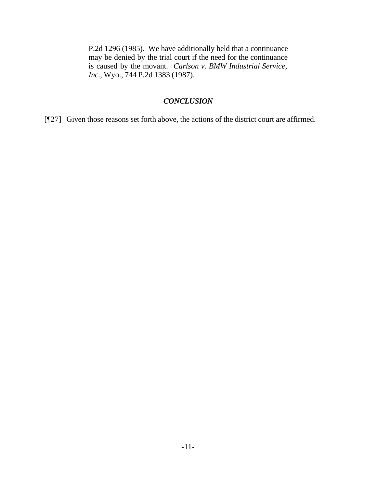P.2d 1296 (1985). We have additionally held that a continuance may be denied by the trial court if the need for the continuance is caused by the movant. *Carlson v. BMW Industrial Service, Inc.*, Wyo., 744 P.2d 1383 (1987).

### *CONCLUSION*

[¶27] Given those reasons set forth above, the actions of the district court are affirmed.